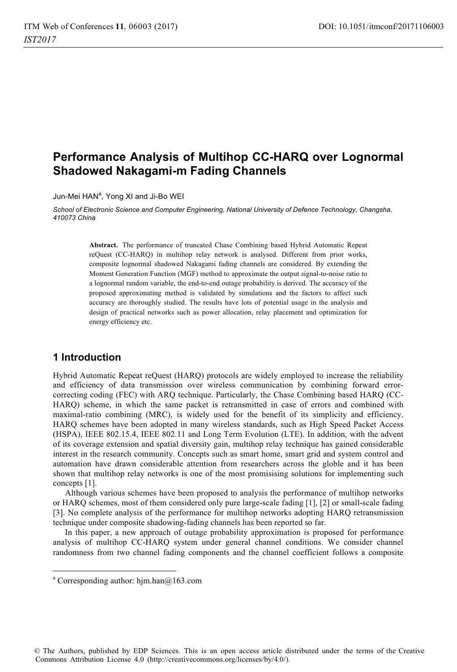# **Performance Analysis of Multihop CC-HARQ over Lognormal Shadowed Nakagami-m Fading Channels**

Jun-Mei HAN<sup>a</sup>, Yong XI and Ji-Bo WEI

*School of Electronic Science and Computer Engineering, National University of Defence Technology, Changsha, 410073 China* 

> **Abstract.** The performance of truncated Chase Combining based Hybrid Automatic Repeat reQuest (CC-HARQ) in multihop relay network is analysed. Different from prior works, composite lognormal shadowed Nakagami fading channels are considered. By extending the Moment Generation Function (MGF) method to approximate the output signal-to-noise ratio to a lognormal random variable, the end-to-end outage probability is derived. The accuracy of the proposed approximating method is validated by simulations and the factors to affect such accuracy are thoroughly studied. The results have lots of potential usage in the analysis and design of practical networks such as power allocation, relay placement and optimization for energy efficiency etc.

# **1 Introduction**

Hybrid Automatic Repeat reQuest (HARQ) protocols are widely employed to increase the reliability and efficiency of data transmission over wireless communication by combining forward errorcorrecting coding (FEC) with ARQ technique. Particularly, the Chase Combining based HARQ (CC-HARQ) scheme, in which the same packet is retransmitted in case of errors and combined with maximal-ratio combining (MRC), is widely used for the benefit of its simplicity and efficiency. HARQ schemes have been adopted in many wireless standards, such as High Speed Packet Access (HSPA), IEEE 802.15.4, IEEE 802.11 and Long Term Evolution (LTE). In addition, with the advent of its coverage extension and spatial diversity gain, multihop relay technique has gained considerable interest in the research community. Concepts such as smart home, smart grid and system control and automation have drawn considerable attention from researchers across the globle and it has been shown that multihop relay networks is one of the most promisising solutions for implementing such concepts [1].

Although various schemes have been proposed to analysis the performance of multihop networks or HARQ schemes, most of them considered only pure large-scale fading [1], [2] or small-scale fading [3]. No complete analysis of the performance for multihop networks adopting HARQ retransmission technique under composite shadowing-fading channels has been reported so far.

In this paper, a new approach of outage probability approximation is proposed for performance analysis of multihop CC-HARQ system under general channel conditions. We consider channel randomness from two channel fading components and the channel coefficient follows a composite

 $\overline{a}$ 

© The Authors, published by EDP Sciences. This is an open access article distributed under the terms of the Creative Commons Attribution License 4.0 (http://creativecommons.org/licenses/by/4.0/).

a Corresponding author: hjm.han@163.com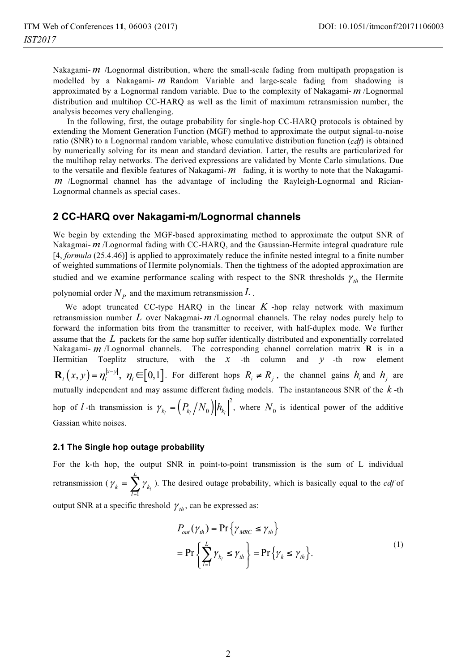Nakagami- *m* /Lognormal distribution, where the small-scale fading from multipath propagation is modelled by a Nakagami- *m* Random Variable and large-scale fading from shadowing is approximated by a Lognormal random variable. Due to the complexity of Nakagami- *m* /Lognormal distribution and multihop CC-HARQ as well as the limit of maximum retransmission number, the analysis becomes very challenging.

 In the following, first, the outage probability for single-hop CC-HARQ protocols is obtained by extending the Moment Generation Function (MGF) method to approximate the output signal-to-noise ratio (SNR) to a Lognormal random variable, whose cumulative distribution function (*cdf*) is obtained by numerically solving for its mean and standard deviation. Latter, the results are particularized for the multihop relay networks. The derived expressions are validated by Monte Carlo simulations. Due to the versatile and flexible features of Nakagami- *m* fading, it is worthy to note that the Nakagami*m* /Lognormal channel has the advantage of including the Rayleigh-Lognormal and Rician-Lognormal channels as special cases.

## **2 CC-HARQ over Nakagami-m/Lognormal channels**

We begin by extending the MGF-based approximating method to approximate the output SNR of Nakagmai- *m* /Lognormal fading with CC-HARQ, and the Gaussian-Hermite integral quadrature rule [4, *formula* (25.4.46)] is applied to approximately reduce the infinite nested integral to a finite number of weighted summations of Hermite polynomials. Then the tightness of the adopted approximation are studied and we examine performance scaling with respect to the SNR thresholds  $\gamma_{th}$  the Hermite

polynomial order  $N_p$  and the maximum retransmission  $L$ .

We adopt truncated CC-type HARQ in the linear  $K$ -hop relay network with maximum retransmission number *L* over Nakagmai- *m* /Lognormal channels. The relay nodes purely help to forward the information bits from the transmitter to receiver, with half-duplex mode. We further assume that the *L* packets for the same hop suffer identically distributed and exponentially correlated Nakagami- *m* /Lognormal channels. The corresponding channel correlation matrix **R** is in a Hermitian Toeplitz structure, with the *x* -th column and *y* -th row element  $\mathbf{R}_i(x, y) = \eta_i^{x-y}$ ,  $\eta_i \in [0,1]$ . For different hops  $R_i \neq R_j$ , the channel gains  $h_i$  and  $h_j$  are mutually independent and may assume different fading models. The instantaneous SNR of the *k* -th hop of *l* -th transmission is  $\gamma_{k_l} = (P_{k_l}/N_0)|h_{k_l}|^2$ , where  $N_0$  is identical power of the additive Gassian white noises.

#### **2.1 The Single hop outage probability**

For the k-th hop, the output SNR in point-to-point transmission is the sum of L individual retransmission ( $\gamma_k = \sum_{l=1}^k \gamma_{k_l}$ *L*  $\lambda_k = \sum_{l=1}^{k} Y_k$  $\gamma_k$  =  $\sum \gamma$  $=\sum_{i=1} \gamma_{k_i}$ ). The desired outage probability, which is basically equal to the *cdf* of output SNR at a specific threshold  $\gamma_{th}$ , can be expressed as:

$$
\mathcal{L}^{\mathcal{L}}_{\mathcal{L}}
$$

$$
P_{out}(\gamma_{th}) = \Pr\{\gamma_{MRC} \le \gamma_{th}\}
$$
  
= 
$$
\Pr\{\sum_{l=1}^{L} \gamma_{k_l} \le \gamma_{th}\} = \Pr\{\gamma_k \le \gamma_{th}\}.
$$
 (1)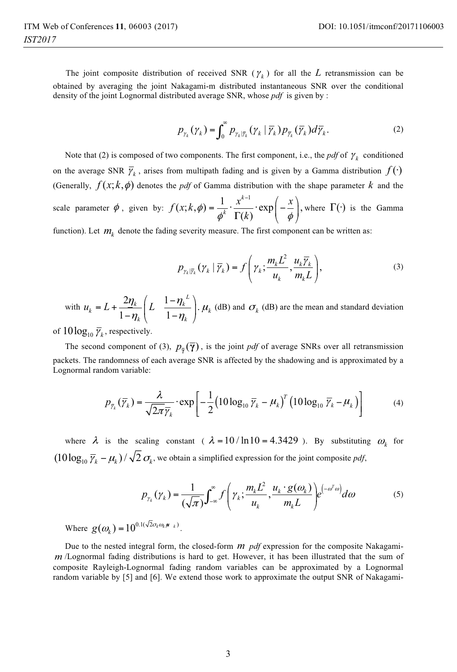The joint composite distribution of received SNR ( $\gamma_k$ ) for all the *L* retransmission can be obtained by averaging the joint Nakagami-m distributed instantaneous SNR over the conditional density of the joint Lognormal distributed average SNR, whose *pdf* is given by :

$$
p_{\gamma_k}(\gamma_k) = \int_0^\infty p_{\gamma_k|\overline{\gamma}_k}(\gamma_k|\overline{\gamma}_k)p_{\overline{\gamma}_k}(\overline{\gamma}_k)d\overline{\gamma}_k.
$$
 (2)

Note that (2) is composed of two components. The first component, i.e., the *pdf* of  $\gamma_k$  conditioned on the average SNR  $\bar{\gamma}_k$ , arises from multipath fading and is given by a Gamma distribution  $f(\cdot)$ (Generally,  $f(x; k, \phi)$  denotes the *pdf* of Gamma distribution with the shape parameter k and the scale parameter  $\phi$ , given by:  $(x; k, \phi) = \frac{1}{\phi^k} \cdot \frac{x^{k-1}}{\Gamma(k)} \cdot \exp\left(-\frac{x}{\phi}\right),$  $f(x; k, \phi) = \frac{1}{\phi^k} \cdot \frac{x^{k-1}}{\Gamma(k)} \cdot \exp\left(-\frac{x}{\phi}\right)$ where  $\Gamma(\cdot)$  is the Gamma

function). Let  $m_k$  denote the fading severity measure. The first component can be written as:

$$
P_{\gamma_k|\overline{\gamma}_k}(\gamma_k | \overline{\gamma}_k) = f\left(\gamma_k; \frac{m_k L^2}{u_k}, \frac{u_k \overline{\gamma}_k}{m_k L}\right),\tag{3}
$$

with  $\eta_k = L + \frac{2\eta_k}{1 - \eta_k} \left( L - \frac{1 - \eta_k^L}{1 - \eta_k} \right).$  $k \left( \frac{1 - \eta_k}{k} \right)$  $u_{\ell} = L + \frac{2\eta_k}{\eta} \left( L - \frac{1-\eta_k}{\eta} \right)$  $= L + \frac{2\eta_k}{1 - \eta_k} \left( L - \frac{1 - \eta_k^L}{1 - \eta_k} \right)$  $\mu_k$  (dB) and  $\sigma_k$  (dB) are the mean and standard deviation

of  $10 \log_{10} \overline{\gamma}_k$ , respectively.

The second component of (3),  $p_{\overline{\gamma}}(\overline{\gamma})$ , is the joint *pdf* of average SNRs over all retransmission packets. The randomness of each average SNR is affected by the shadowing and is approximated by a Lognormal random variable:

$$
p_{\overline{\gamma}_k}(\overline{\gamma}_k) = \frac{\lambda}{\sqrt{2\pi}\overline{\gamma}_k} \cdot \exp\left[-\frac{1}{2} (10\log_{10}\overline{\gamma}_k - \mu_k)^T (10\log_{10}\overline{\gamma}_k - \mu_k)\right]
$$
(4)

where  $\lambda$  is the scaling constant (  $\lambda = 10 / \ln 10 = 4.3429$  ). By substituting  $\omega_k$  for  $(10 \log_{10} \overline{\gamma}_k - \mu_k) / \sqrt{2} \sigma_k$ , we obtain a simplified expression for the joint composite *pdf*,

$$
p_{\gamma_k}(\gamma_k) = \frac{1}{(\sqrt{\pi})} \int_{-\infty}^{\infty} f\left(\gamma_k; \frac{m_k L^2}{u_k}, \frac{u_k \cdot g(\omega_k)}{m_k L}\right) e^{(-\omega^T \omega)} d\omega \tag{5}
$$

Where  $g(\omega_k) = 10^{0.1(\sqrt{2} \sigma_k \omega_k \mu_k)}$ .

Due to the nested integral form, the closed-form *m pdf* expression for the composite Nakagami*m* /Lognormal fading distributions is hard to get. However, it has been illustrated that the sum of composite Rayleigh-Lognormal fading random variables can be approximated by a Lognormal random variable by [5] and [6]. We extend those work to approximate the output SNR of Nakagami-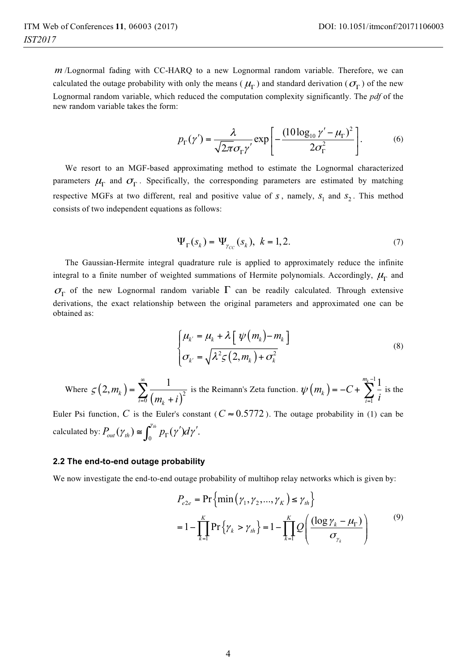*m* /Lognormal fading with CC-HARQ to a new Lognormal random variable. Therefore, we can calculated the outage probability with only the means ( $\mu_{\Gamma}$ ) and standard derivation ( $\sigma_{\Gamma}$ ) of the new Lognormal random variable, which reduced the computation complexity significantly. The *pdf* of the new random variable takes the form:

$$
p_{\Gamma}(\gamma') = \frac{\lambda}{\sqrt{2\pi}\sigma_{\Gamma}\gamma'} \exp\left[-\frac{(10\log_{10}\gamma' - \mu_{\Gamma})^2}{2\sigma_{\Gamma}^2}\right].
$$
 (6)

We resort to an MGF-based approximating method to estimate the Lognormal characterized parameters  $\mu_{\Gamma}$  and  $\sigma_{\Gamma}$ . Specifically, the corresponding parameters are estimated by matching respective MGFs at two different, real and positive value of  $s$ , namely,  $s<sub>1</sub>$  and  $s<sub>2</sub>$ . This method consists of two independent equations as follows:

$$
\Psi_{\Gamma}(s_k) = \Psi_{\gamma_{CC}}(s_k), \ k = 1, 2. \tag{7}
$$

The Gaussian-Hermite integral quadrature rule is applied to approximately reduce the infinite integral to a finite number of weighted summations of Hermite polynomials. Accordingly,  $\mu_{\Gamma}$  and  $\sigma_{\Gamma}$  of the new Lognormal random variable  $\Gamma$  can be readily calculated. Through extensive derivations, the exact relationship between the original parameters and approximated one can be obtained as:

$$
\begin{cases} \mu_k = \mu_k + \lambda \left[ \psi(m_k) - m_k \right] \\ \sigma_{k'} = \sqrt{\lambda^2 \zeta(2, m_k) + \sigma_k^2} \end{cases}
$$
 (8)

Where 
$$
\varsigma(2, m_k) = \sum_{i=0}^{\infty} \frac{1}{(m_k + i)^2}
$$
 is the Reimann's Zeta function.  $\psi(m_k) = -C + \sum_{i=1}^{m_k - 1} \frac{1}{i}$  is the

Euler Psi function, *C* is the Euler's constant ( $C \approx 0.5772$ ). The outage probability in (1) can be calculated by:  $P_{out}(\gamma_{th}) \cong \int_0^{\gamma_{th}} p_{\Gamma}(\gamma') d\gamma'.$ 

#### **2.2 The end-to-end outage probability**

We now investigate the end-to-end outage probability of multihop relay networks which is given by:

$$
P_{e2e} = \Pr\left\{\min\left(\gamma_1, \gamma_2, ..., \gamma_K\right) \le \gamma_{th}\right\}
$$
  
=  $1 - \prod_{k=1}^K \Pr\left\{\gamma_k > \gamma_{th}\right\} = 1 - \prod_{k=1}^K Q\left(\frac{(\log \gamma_k - \mu_{\Gamma})}{\sigma_{\gamma_k}}\right)$  (9)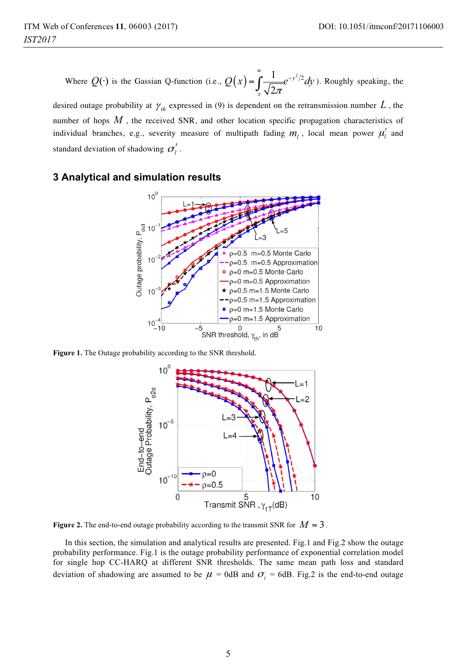Where  $Q(\cdot)$  is the Gassian Q-function (i.e.,  $Q(x) = \int_{0}^{\infty} \frac{1}{\sqrt{2\pi}} e^{-y^2/2} dx$ 2 *y x*  $Q(x) = \int \frac{1}{\pi} e^{-y^2/2} dv$ π  $=\int_{0}^{\infty}\frac{1}{\sqrt{2\pi}}e^{-y^{2}/2}dy$ ). Roughly speaking, the

desired outage probability at  $\gamma_{th}$  expressed in (9) is dependent on the retransmission number  $L$ , the number of hops *M* , the received SNR, and other location specific propagation characteristics of individual branches, e.g., severity measure of multipath fading  $m_l$ , local mean power  $\mu_l'$  and standard deviation of shadowing  $\sigma'_{l}$ .

# **3 Analytical and simulation results**



**Figure 1.** The Outage probability according to the SNR threshold.



**Figure 2.** The end-to-end outage probability according to the transmit SNR for  $M = 3$ .

In this section, the simulation and analytical results are presented. Fig.1 and Fig.2 show the outage probability performance. Fig.1 is the outage probability performance of exponential correlation model for single hop CC-HARQ at different SNR thresholds. The same mean path loss and standard deviation of shadowing are assumed to be  $\mu$  = 0dB and  $\sigma$ <sub>i</sub> = 6dB. Fig.2 is the end-to-end outage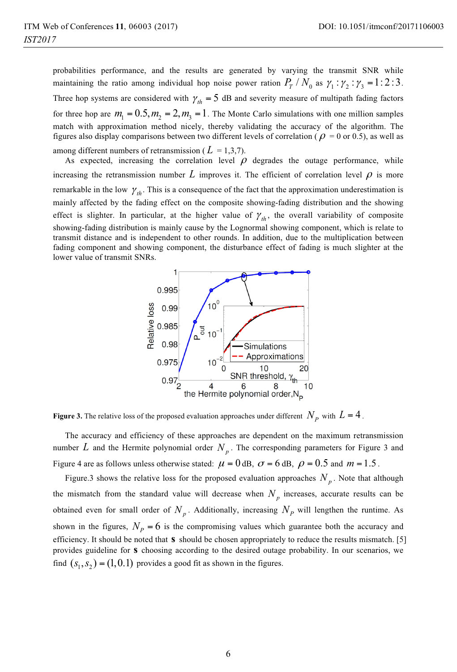probabilities performance, and the results are generated by varying the transmit SNR while maintaining the ratio among individual hop noise power ration  $P_T / N_0$  as  $\gamma_1 : \gamma_2 : \gamma_3 = 1:2:3$ . Three hop systems are considered with  $\gamma_{th} = 5$  dB and severity measure of multipath fading factors for three hop are  $m_1 = 0.5, m_2 = 2, m_3 = 1$ . The Monte Carlo simulations with one million samples match with approximation method nicely, thereby validating the accuracy of the algorithm. The figures also display comparisons between two different levels of correlation ( $\rho = 0$  or 0.5), as well as among different numbers of retransmission ( $L = 1,3,7$ ).

As expected, increasing the correlation level  $\rho$  degrades the outage performance, while increasing the retransmission number  $L$  improves it. The efficient of correlation level  $\rho$  is more remarkable in the low  $\gamma_{th}$ . This is a consequence of the fact that the approximation underestimation is mainly affected by the fading effect on the composite showing-fading distribution and the showing effect is slighter. In particular, at the higher value of  $\gamma_{th}$ , the overall variability of composite showing-fading distribution is mainly cause by the Lognormal showing component, which is relate to transmit distance and is independent to other rounds. In addition, due to the multiplication between fading component and showing component, the disturbance effect of fading is much slighter at the lower value of transmit SNRs.



**Figure 3.** The relative loss of the proposed evaluation approaches under different  $N_p$  with  $L = 4$ .

The accuracy and efficiency of these approaches are dependent on the maximum retransmission number  $L$  and the Hermite polynomial order  $N_p$ . The corresponding parameters for Figure 3 and Figure 4 are as follows unless otherwise stated:  $\mu = 0$  dB,  $\sigma = 6$  dB,  $\rho = 0.5$  and  $m = 1.5$ .

Figure.3 shows the relative loss for the proposed evaluation approaches  $N_p$ . Note that although the mismatch from the standard value will decrease when  $N_p$  increases, accurate results can be obtained even for small order of  $N_p$ . Additionally, increasing  $N_p$  will lengthen the runtime. As shown in the figures,  $N_p = 6$  is the compromising values which guarantee both the accuracy and efficiency. It should be noted that **s** should be chosen appropriately to reduce the results mismatch. [5] provides guideline for **s** choosing according to the desired outage probability. In our scenarios, we find  $(s_1, s_2) = (1,0.1)$  provides a good fit as shown in the figures.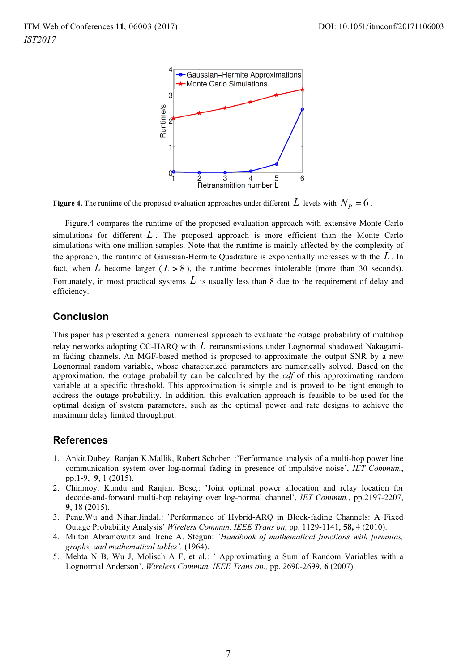

**Figure 4.** The runtime of the proposed evaluation approaches under different  $L$  levels with  $N_p = 6$ .

Figure.4 compares the runtime of the proposed evaluation approach with extensive Monte Carlo simulations for different *L* . The proposed approach is more efficient than the Monte Carlo simulations with one million samples. Note that the runtime is mainly affected by the complexity of the approach, the runtime of Gaussian-Hermite Quadrature is exponentially increases with the *L* . In fact, when *L* become larger  $(L > 8)$ , the runtime becomes intolerable (more than 30 seconds). Fortunately, in most practical systems *L* is usually less than 8 due to the requirement of delay and efficiency.

## **Conclusion**

This paper has presented a general numerical approach to evaluate the outage probability of multihop relay networks adopting CC-HARQ with *L* retransmissions under Lognormal shadowed Nakagamim fading channels. An MGF-based method is proposed to approximate the output SNR by a new Lognormal random variable, whose characterized parameters are numerically solved. Based on the approximation, the outage probability can be calculated by the *cdf* of this approximating random variable at a specific threshold. This approximation is simple and is proved to be tight enough to address the outage probability. In addition, this evaluation approach is feasible to be used for the optimal design of system parameters, such as the optimal power and rate designs to achieve the maximum delay limited throughput.

## **References**

- 1. Ankit.Dubey, Ranjan K.Mallik, Robert.Schober. :'Performance analysis of a multi-hop power line communication system over log-normal fading in presence of impulsive noise', *IET Commun.*, pp.1-9, **9**, 1 (2015).
- 2. Chinmoy. Kundu and Ranjan. Bose,: 'Joint optimal power allocation and relay location for decode-and-forward multi-hop relaying over log-normal channel', *IET Commun.*, pp.2197-2207, **9**, 18 (2015).
- 3. Peng.Wu and Nihar.Jindal.: 'Performance of Hybrid-ARQ in Block-fading Channels: A Fixed Outage Probability Analysis' *Wireless Commun. IEEE Trans on*, pp. 1129-1141, **58,** 4 (2010).
- 4. Milton Abramowitz and Irene A. Stegun: *'Handbook of mathematical functions with formulas, graphs, and mathematical tables',* (1964).
- 5. Mehta N B, Wu J, Molisch A F, et al.: ' Approximating a Sum of Random Variables with a Lognormal Anderson', *Wireless Commun. IEEE Trans on.,* pp. 2690-2699, **6** (2007).